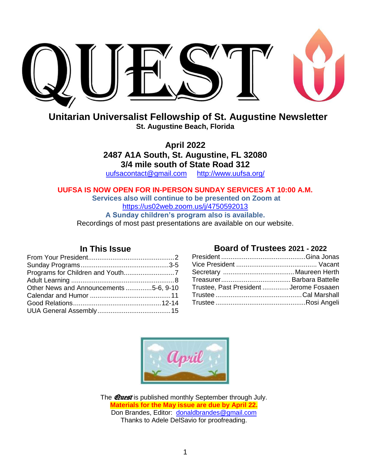

**Unitarian Universalist Fellowship of St. Augustine Newsletter St. Augustine Beach, Florida**

> **April 2022 2487 A1A South, St. Augustine, FL 32080 3/4 mile south of State Road 312** [uufsacontact@gmail.com](mailto:uufsacontact@gmail.com) <http://www.uufsa.org/>

**UUFSA IS NOW OPEN FOR IN-PERSON SUNDAY SERVICES AT 10:00 A.M.**

**Services also will continue to be presented on Zoom at** <https://us02web.zoom.us/j/4750592013> **A Sunday children's program also is available.** Recordings of most past presentations are available on our website.

#### **In This Issue**

| Other News and Announcements 5-6, 9-10 |  |
|----------------------------------------|--|
|                                        |  |
|                                        |  |
|                                        |  |
|                                        |  |

#### **Board of Trustees 2021 - 2022**

| Trustee, Past President  Jerome Fosaaen |  |
|-----------------------------------------|--|
|                                         |  |
|                                         |  |
|                                         |  |



The **Quest** is published monthly September through July. **Materials for the May issue are due by April 22.** Don Brandes, Editor: [donaldbrandes@gmail.com](file:///C:/Users/Don/Documents/8-UU/Quest/2016%2012/donaldbrandes@gmail.com) Thanks to Adele DelSavio for proofreading.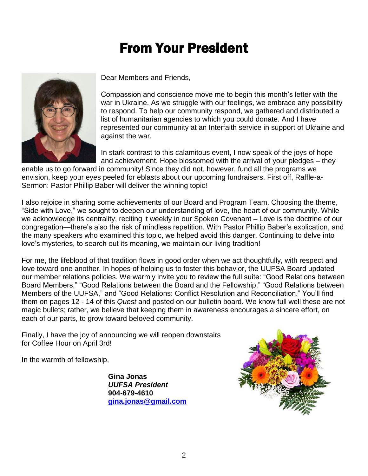## From Your President



Dear Members and Friends,

Compassion and conscience move me to begin this month's letter with the war in Ukraine. As we struggle with our feelings, we embrace any possibility to respond. To help our community respond, we gathered and distributed a list of humanitarian agencies to which you could donate. And I have represented our community at an Interfaith service in support of Ukraine and against the war.

In stark contrast to this calamitous event, I now speak of the joys of hope and achievement. Hope blossomed with the arrival of your pledges – they

enable us to go forward in community! Since they did not, however, fund all the programs we envision, keep your eyes peeled for eblasts about our upcoming fundraisers. First off, Raffle-a-Sermon: Pastor Phillip Baber will deliver the winning topic!

I also rejoice in sharing some achievements of our Board and Program Team. Choosing the theme, "Side with Love," we sought to deepen our understanding of love, the heart of our community. While we acknowledge its centrality, reciting it weekly in our Spoken Covenant – Love is the doctrine of our congregation—there's also the risk of mindless repetition. With Pastor Phillip Baber's explication, and the many speakers who examined this topic, we helped avoid this danger. Continuing to delve into love's mysteries, to search out its meaning, we maintain our living tradition!

For me, the lifeblood of that tradition flows in good order when we act thoughtfully, with respect and love toward one another. In hopes of helping us to foster this behavior, the UUFSA Board updated our member relations policies. We warmly invite you to review the full suite: "Good Relations between Board Members," "Good Relations between the Board and the Fellowship," "Good Relations between Members of the UUFSA," and "Good Relations: Conflict Resolution and Reconciliation." You'll find them on pages 12 - 14 of this *Quest* and posted on our bulletin board. We know full well these are not magic bullets; rather, we believe that keeping them in awareness encourages a sincere effort, on each of our parts, to grow toward beloved community.

Finally, I have the joy of announcing we will reopen downstairs for Coffee Hour on April 3rd!

In the warmth of fellowship,

**Gina Jonas** *UUFSA President*  **904-679-4610 [gina.jonas@gmail.com](mailto:gina.jonas@gmail.com)**

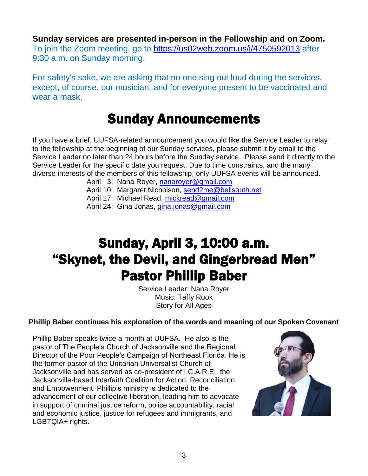**Sunday services are presented in-person in the Fellowship and on Zoom.** To join the Zoom meeting, go to<https://us02web.zoom.us/j/4750592013> [after](https://us02web.zoom.us/j/4750592013)  [9:30](https://us02web.zoom.us/j/4750592013%20%20after%209:30) a.m. on Sunday morning.

For safety's sake, we are asking that no one sing out loud during the services, except, of course, our musician, and for everyone present to be vaccinated and wear a mask.

#### Sunday Announcements

If you have a brief, UUFSA-related announcement you would like the Service Leader to relay to the fellowship at the beginning of our Sunday services, please submit it by email to the Service Leader no later than 24 hours before the Sunday service. Please send it directly to the Service Leader for the specific date you request. Due to time constraints, and the many diverse interests of the members of this fellowship, only UUFSA events will be announced.

- April 3: Nana Royer, [nanaroyer@gmail.com](file:///C:/Users/Donald%20Brandes/Documents/8-UU/Quest/2022%2002/nanaroyer@gmail.com)
- April 10: Margaret Nicholson, [send2me@bellsouth.net](file:///C:/Users/Donald%20Brandes/Documents/8-UU/Quest/2022%2002/send2me@bellsouth.net)
- April 17: Michael Read, [mickread@gmail.com](mailto:mickread@gmail.com)
- April 24: Gina Jonas, *gina.jonas@gmail.com*

### Sunday, April 3, 10:00 a.m. "Skynet, the Devil, and Gingerbread Men" Pastor Phillip Baber

Service Leader: Nana Royer Music: Taffy Rook Story for All Ages

#### **Phillip Baber continues his exploration of the words and meaning of our Spoken Covenant**

Phillip Baber speaks twice a month at UUFSA. He also is the pastor of The People's Church of Jacksonville and the Regional Director of the Poor People's Campaign of Northeast Florida. He is the former pastor of the Unitarian Universalist Church of Jacksonville and has served as co-president of I.C.A.R.E., the Jacksonville-based Interfaith Coalition for Action, Reconciliation, and Empowerment. Phillip's ministry is dedicated to the advancement of our collective liberation, leading him to advocate in support of criminal justice reform, police accountability, racial and economic justice, justice for refugees and immigrants, and LGBTQIA+ rights.

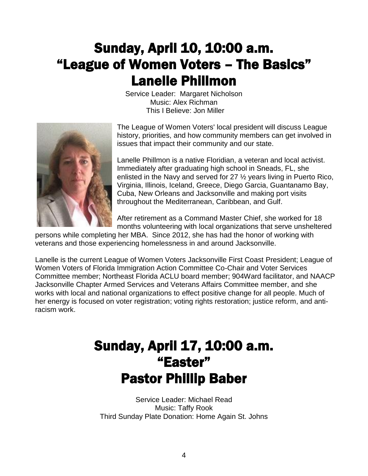## Sunday, April 10, 10:00 a.m. "League of Women Voters – The Basics" Lanelle Phillmon

Service Leader: Margaret Nicholson Music: Alex Richman This I Believe: Jon Miller



The League of Women Voters' local president will discuss League history, priorities, and how community members can get involved in issues that impact their community and our state.

Lanelle Phillmon is a native Floridian, a veteran and local activist. Immediately after graduating high school in Sneads, FL, she enlisted in the Navy and served for 27 ½ years living in Puerto Rico, Virginia, Illinois, Iceland, Greece, Diego Garcia, Guantanamo Bay, Cuba, New Orleans and Jacksonville and making port visits throughout the Mediterranean, Caribbean, and Gulf.

After retirement as a Command Master Chief, she worked for 18 months volunteering with local organizations that serve unsheltered

persons while completing her MBA. Since 2012, she has had the honor of working with veterans and those experiencing homelessness in and around Jacksonville.

Lanelle is the current League of Women Voters Jacksonville First Coast President; League of Women Voters of Florida Immigration Action Committee Co-Chair and Voter Services Committee member; Northeast Florida ACLU board member; 904Ward facilitator, and NAACP Jacksonville Chapter Armed Services and Veterans Affairs Committee member, and she works with local and national organizations to effect positive change for all people. Much of her energy is focused on voter registration; voting rights restoration; justice reform, and antiracism work.

### Sunday, April 17, 10:00 a.m. "Easter" Pastor Phillip Baber

Service Leader: Michael Read Music: Taffy Rook Third Sunday Plate Donation: Home Again St. Johns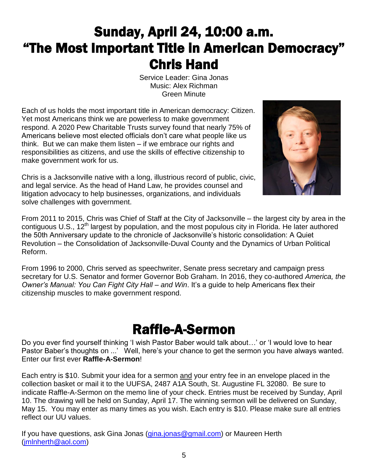## Sunday, April 24, 10:00 a.m. "The Most Important Title in American Democracy" Chris Hand

Service Leader: Gina Jonas Music: Alex Richman Green Minute

Each of us holds the most important title in American democracy: Citizen. Yet most Americans think we are powerless to make government respond. A 2020 Pew Charitable Trusts survey found that nearly 75% of Americans believe most elected officials don't care what people like us think. But we can make them listen – if we embrace our rights and responsibilities as citizens, and use the skills of effective citizenship to make government work for us.

Chris is a Jacksonville native with a long, illustrious record of public, civic, and legal service. As the head of Hand Law, he provides counsel and litigation advocacy to help businesses, organizations, and individuals solve challenges with government.



From 2011 to 2015, Chris was Chief of Staff at the City of Jacksonville – the largest city by area in the contiguous U.S., 12<sup>th</sup> largest by population, and the most populous city in Florida. He later authored the 50th Anniversary update to the chronicle of Jacksonville's historic consolidation: A Quiet Revolution – the Consolidation of Jacksonville-Duval County and the Dynamics of Urban Political Reform.

From 1996 to 2000, Chris served as speechwriter, Senate press secretary and campaign press secretary for U.S. Senator and former Governor Bob Graham. In 2016, they co-authored *America, the Owner's Manual: You Can Fight City Hall – and Win*. It's a guide to help Americans flex their citizenship muscles to make government respond.

### Raffle-A-Sermon

Do you ever find yourself thinking 'I wish Pastor Baber would talk about…' or 'I would love to hear Pastor Baber's thoughts on ...' Well, here's your chance to get the sermon you have always wanted. Enter our first ever **Raffle-A-Sermon**!

Each entry is \$10. Submit your idea for a sermon and your entry fee in an envelope placed in the collection basket or mail it to the UUFSA, 2487 A1A South, St. Augustine FL 32080. Be sure to indicate Raffle-A-Sermon on the memo line of your check. Entries must be received by Sunday, April 10. The drawing will be held on Sunday, April 17. The winning sermon will be delivered on Sunday, May 15. You may enter as many times as you wish. Each entry is \$10. Please make sure all entries reflect our UU values.

If you have questions, ask Gina Jonas [\(gina.jonas@gmail.com\)](mailto:gina.jonas@gmail.com) or Maureen Herth [\(jmlnherth@aol.com\)](mailto:jmlnherth@aol.com)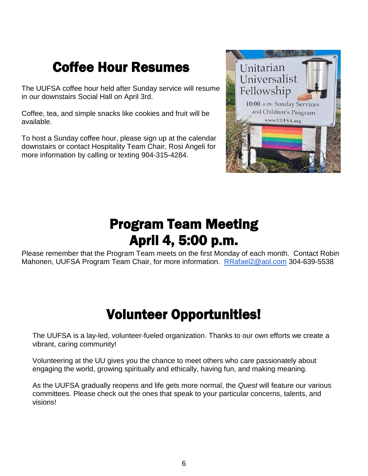## Coffee Hour Resumes

The UUFSA coffee hour held after Sunday service will resume in our downstairs Social Hall on April 3rd.

Coffee, tea, and simple snacks like cookies and fruit will be available.

To host a Sunday coffee hour, please sign up at the calendar downstairs or contact Hospitality Team Chair, Rosi Angeli for more information by calling or texting 904-315-4284.



### Program Team Meeting April 4, 5:00 p.m.

Please remember that the Program Team meets on the first Monday of each month. Contact Robin Mahonen, UUFSA Program Team Chair, for more information. [RRafael2@aol.com](mailto:RRafael2@aol.com) 304-639-5538

## Volunteer Opportunities!

The UUFSA is a lay-led, volunteer-fueled organization. Thanks to our own efforts we create a vibrant, caring community!

Volunteering at the UU gives you the chance to meet others who care passionately about engaging the world, growing spiritually and ethically, having fun, and making meaning.

As the UUFSA gradually reopens and life gets more normal, the *Quest* will feature our various committees. Please check out the ones that speak to your particular concerns, talents, and visions!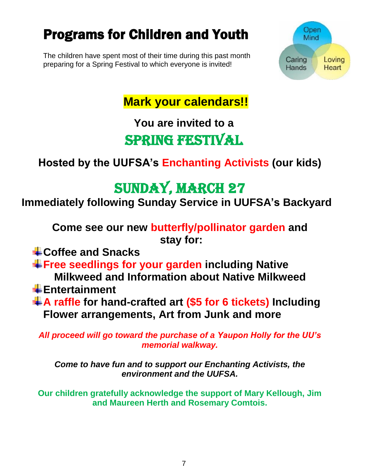## Programs for Children and Youth

The children have spent most of their time during this past month preparing for a Spring Festival to which everyone is invited!



**Mark your calendars!!**

## **You are invited to a** Spring Festival

#### **Hosted by the UUFSA's Enchanting Activists (our kids)**

## Sunday, March 27

**Immediately following Sunday Service in UUFSA's Backyard**

**Come see our new butterfly/pollinator garden and stay for:**

**Coffee and Snacks**

**Free seedlings for your garden including Native**

**Milkweed and Information about Native Milkweed**

- **Entertainment**
- **A raffle for hand-crafted art (\$5 for 6 tickets) Including Flower arrangements, Art from Junk and more**

*All proceed will go toward the purchase of a Yaupon Holly for the UU's memorial walkway.*

*Come to have fun and to support our Enchanting Activists, the environment and the UUFSA.*

**Our children gratefully acknowledge the support of Mary Kellough, Jim and Maureen Herth and Rosemary Comtois.**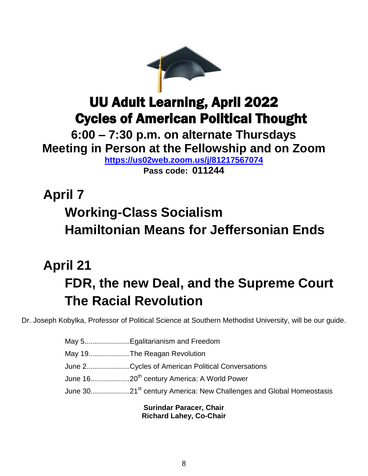

### UU Adult Learning, April 2022 Cycles of American Political Thought

**6:00 – 7:30 p.m. on alternate Thursdays Meeting in Person at the Fellowship and on Zoom <https://us02web.zoom.us/j/81217567074>**

**Pass code: 011244**

# **April 7 Working-Class Socialism Hamiltonian Means for Jeffersonian Ends**

# **April 21 FDR, the new Deal, and the Supreme Court The Racial Revolution**

Dr. Joseph Kobylka, Professor of Political Science at Southern Methodist University, will be our guide.

May 5......................Egalitarianism and Freedom May 19....................The Reagan Revolution June 2.....................Cycles of American Political Conversations June 16...................20th century America: A World Power June 30...................21st century America: New Challenges and Global Homeostasis

> **Surindar Paracer, Chair Richard Lahey, Co-Chair**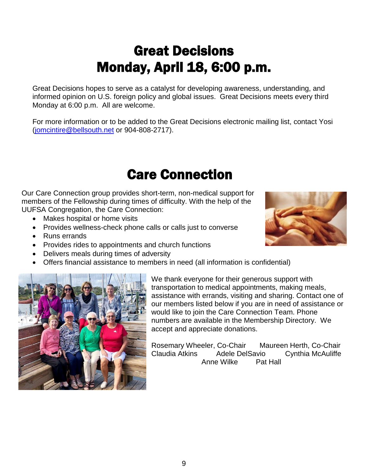## Great Decisions Monday, April 18, 6:00 p.m.

Great Decisions hopes to serve as a catalyst for developing awareness, understanding, and informed opinion on U.S. foreign policy and global issues. Great Decisions meets every third Monday at 6:00 p.m. All are welcome.

For more information or to be added to the Great Decisions electronic mailing list, contact Yosi [\(jomcintire@bellsouth.net](file:///C:/Users/Donald%20Brandes/Documents/8-UU/Quest/2022%2002/jomcintire@bellsouth.net) or 904-808-2717).

#### Care Connection

Our Care Connection group provides short-term, non-medical support for members of the Fellowship during times of difficulty. With the help of the UUFSA Congregation, the Care Connection:

- Makes hospital or home visits
- Provides wellness-check phone calls or calls just to converse
- Runs errands
- Provides rides to appointments and church functions
- Delivers meals during times of adversity
- Offers financial assistance to members in need (all information is confidential)



We thank everyone for their generous support with transportation to medical appointments, making meals, assistance with errands, visiting and sharing. Contact one of our members listed below if you are in need of assistance or would like to join the Care Connection Team. Phone numbers are available in the Membership Directory. We accept and appreciate donations.

Rosemary Wheeler, Co-Chair Maureen Herth, Co-Chair Claudia Atkins Adele DelSavio Cynthia McAuliffe Anne Wilke Pat Hall

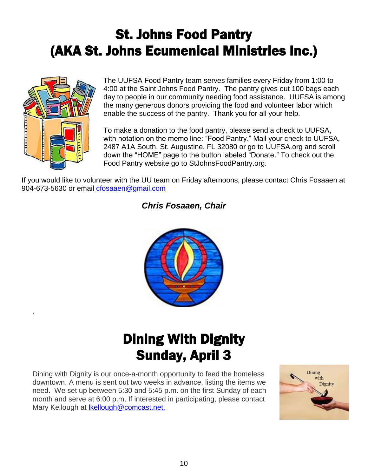## St. Johns Food Pantry (AKA St. Johns Ecumenical Ministries Inc.)



.

The UUFSA Food Pantry team serves families every Friday from 1:00 to 4:00 at the Saint Johns Food Pantry. The pantry gives out 100 bags each day to people in our community needing food assistance. UUFSA is among the many generous donors providing the food and volunteer labor which enable the success of the pantry. Thank you for all your help.

To make a donation to the food pantry, please send a check to UUFSA, with notation on the memo line: "Food Pantry." Mail your check to UUFSA, 2487 A1A South, St. Augustine, FL 32080 or go to UUFSA.org and scroll down the "HOME" page to the button labeled "Donate." To check out the Food Pantry website go to StJohnsFoodPantry.org.

If you would like to volunteer with the UU team on Friday afternoons, please contact Chris Fosaaen at 904-673-5630 or email [cfosaaen@gmail.com](mailto:cfosaaen@gmail.com)

#### *Chris Fosaaen, Chair*



## Dining With Dignity Sunday, April 3

Dining with Dignity is our once-a-month opportunity to feed the homeless downtown. A menu is sent out two weeks in advance, listing the items we need. We set up between 5:30 and 5:45 p.m. on the first Sunday of each month and serve at 6:00 p.m. If interested in participating, please contact Mary Kellough at Ikellough@comcast.net.

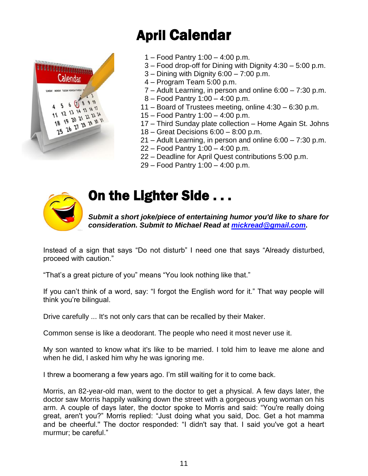# April Calendar



- 1 Food Pantry 1:00 4:00 p.m.
- 3 Food drop-off for Dining with Dignity 4:30 5:00 p.m.
- $3 -$  Dining with Dignity  $6:00 7:00$  p.m.
- 4 Program Team 5:00 p.m.
- 7 Adult Learning, in person and online 6:00 7:30 p.m.
- 8 Food Pantry 1:00 4:00 p.m.
- 11 Board of Trustees meeting, online 4:30 6:30 p.m.
- 15 Food Pantry 1:00 4:00 p.m.
- 17 Third Sunday plate collection Home Again St. Johns
- 18 Great Decisions 6:00 8:00 p.m.
- 21 Adult Learning, in person and online 6:00 7:30 p.m.
- 22 Food Pantry 1:00 4:00 p.m.
- 22 Deadline for April Quest contributions 5:00 p.m.
- 29 Food Pantry 1:00 4:00 p.m.



### On the Lighter Side . . .

*Submit a short joke/piece of entertaining humor you'd like to share for consideration. Submit to Michael Read at [mickread@gmail.com.](mailto:mickread@gmail.com)* 

Instead of a sign that says "Do not disturb" I need one that says "Already disturbed, proceed with caution."

"That's a great picture of you" means "You look nothing like that."

If you can't think of a word, say: "I forgot the English word for it." That way people will think you're bilingual.

Drive carefully ... It's not only cars that can be recalled by their Maker.

Common sense is like a deodorant. The people who need it most never use it.

My son wanted to know what it's like to be married. I told him to leave me alone and when he did, I asked him why he was ignoring me.

I threw a boomerang a few years ago. I'm still waiting for it to come back.

Morris, an 82-year-old man, went to the doctor to get a physical. A few days later, the doctor saw Morris happily walking down the street with a gorgeous young woman on his arm. A couple of days later, the doctor spoke to Morris and said: "You're really doing great, aren't you?" Morris replied: "Just doing what you said, Doc. Get a hot mamma and be cheerful.'' The doctor responded: "I didn't say that. I said you've got a heart murmur; be careful."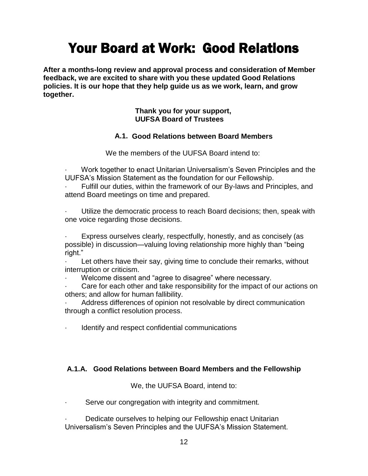## Your Board at Work: Good Relations

**After a months-long review and approval process and consideration of Member feedback, we are excited to share with you these updated Good Relations policies. It is our hope that they help guide us as we work, learn, and grow together.** 

#### **Thank you for your support, UUFSA Board of Trustees**

#### **A.1. Good Relations between Board Members**

We the members of the UUFSA Board intend to:

· Work together to enact Unitarian Universalism's Seven Principles and the UUFSA's Mission Statement as the foundation for our Fellowship.

Fulfill our duties, within the framework of our By-laws and Principles, and attend Board meetings on time and prepared.

Utilize the democratic process to reach Board decisions; then, speak with one voice regarding those decisions.

Express ourselves clearly, respectfully, honestly, and as concisely (as possible) in discussion—valuing loving relationship more highly than "being right."

Let others have their say, giving time to conclude their remarks, without interruption or criticism.

Welcome dissent and "agree to disagree" where necessary.

Care for each other and take responsibility for the impact of our actions on others; and allow for human fallibility.

Address differences of opinion not resolvable by direct communication through a conflict resolution process.

Identify and respect confidential communications

#### **A.1.A. Good Relations between Board Members and the Fellowship**

We, the UUFSA Board, intend to:

Serve our congregation with integrity and commitment.

Dedicate ourselves to helping our Fellowship enact Unitarian Universalism's Seven Principles and the UUFSA's Mission Statement.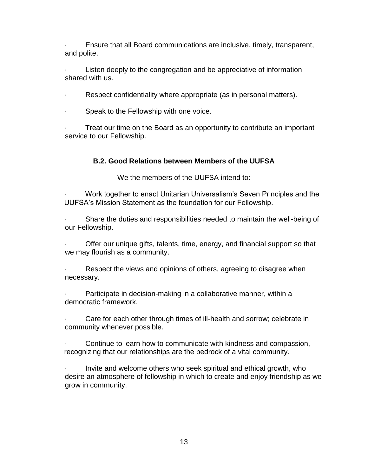Ensure that all Board communications are inclusive, timely, transparent, and polite.

· Listen deeply to the congregation and be appreciative of information shared with us.

· Respect confidentiality where appropriate (as in personal matters).

· Speak to the Fellowship with one voice.

Treat our time on the Board as an opportunity to contribute an important service to our Fellowship.

#### **B.2. Good Relations between Members of the UUFSA**

We the members of the UUFSA intend to:

Work together to enact Unitarian Universalism's Seven Principles and the UUFSA's Mission Statement as the foundation for our Fellowship.

· Share the duties and responsibilities needed to maintain the well-being of our Fellowship.

Offer our unique gifts, talents, time, energy, and financial support so that we may flourish as a community.

Respect the views and opinions of others, agreeing to disagree when necessary.

Participate in decision-making in a collaborative manner, within a democratic framework.

Care for each other through times of ill-health and sorrow; celebrate in community whenever possible.

Continue to learn how to communicate with kindness and compassion, recognizing that our relationships are the bedrock of a vital community.

· Invite and welcome others who seek spiritual and ethical growth, who desire an atmosphere of fellowship in which to create and enjoy friendship as we grow in community.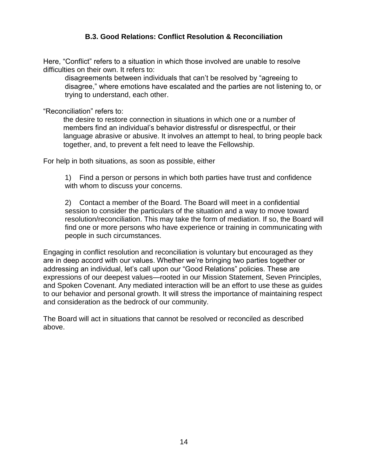#### **B.3. Good Relations: Conflict Resolution & Reconciliation**

Here, "Conflict" refers to a situation in which those involved are unable to resolve difficulties on their own. It refers to:

disagreements between individuals that can't be resolved by "agreeing to disagree," where emotions have escalated and the parties are not listening to, or trying to understand, each other.

"Reconciliation" refers to:

 the desire to restore connection in situations in which one or a number of members find an individual's behavior distressful or disrespectful, or their language abrasive or abusive. It involves an attempt to heal, to bring people back together, and, to prevent a felt need to leave the Fellowship.

For help in both situations, as soon as possible, either

1) Find a person or persons in which both parties have trust and confidence with whom to discuss your concerns.

2) Contact a member of the Board. The Board will meet in a confidential session to consider the particulars of the situation and a way to move toward resolution/reconciliation. This may take the form of mediation. If so, the Board will find one or more persons who have experience or training in communicating with people in such circumstances.

Engaging in conflict resolution and reconciliation is voluntary but encouraged as they are in deep accord with our values. Whether we're bringing two parties together or addressing an individual, let's call upon our "Good Relations" policies. These are expressions of our deepest values—rooted in our Mission Statement, Seven Principles, and Spoken Covenant. Any mediated interaction will be an effort to use these as guides to our behavior and personal growth. It will stress the importance of maintaining respect and consideration as the bedrock of our community.

The Board will act in situations that cannot be resolved or reconciled as described above.